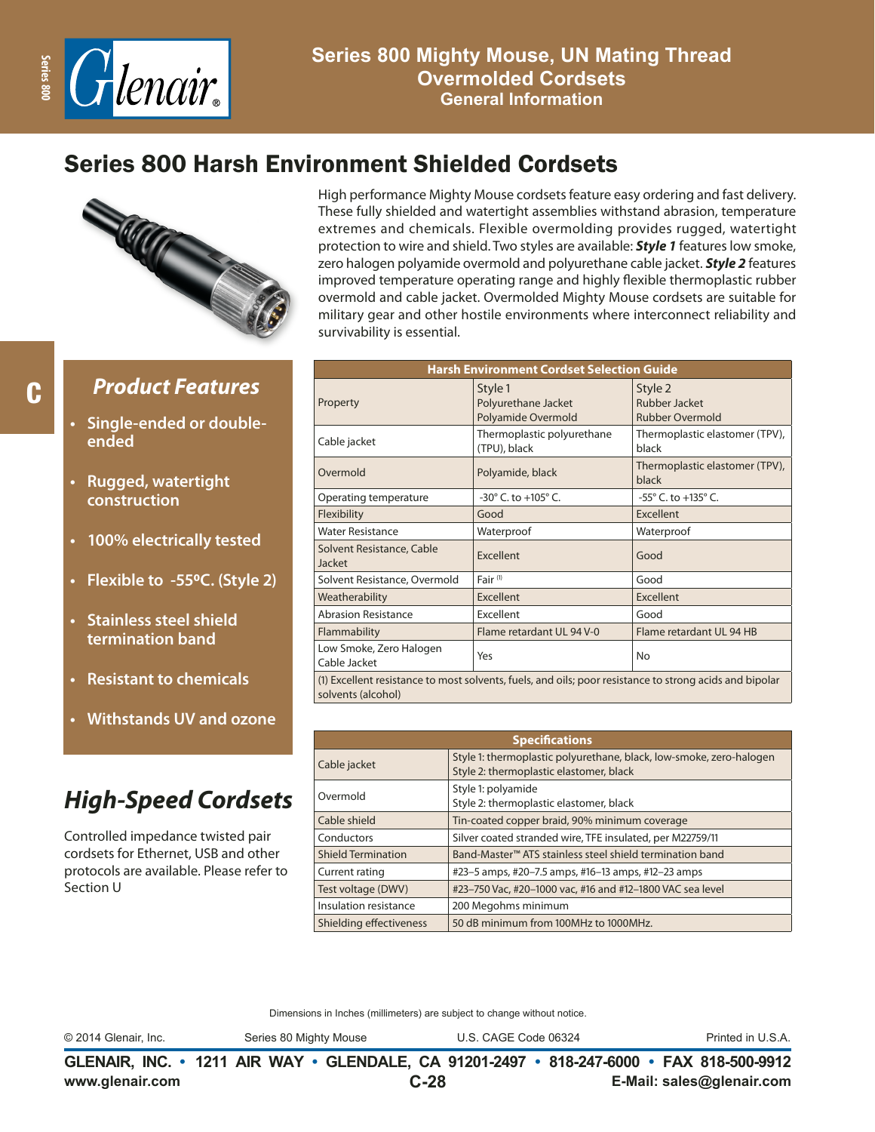

## Series 800 Harsh Environment Shielded Cordsets



C

### *Product Features*

- **• Single-ended or doubleended**
- **• Rugged, watertight construction**
- **• 100% electrically tested**
- **• Flexible to -550C. (Style 2)**
- **• Stainless steel shield termination band**
- **• Resistant to chemicals**
- **• Withstands UV and ozone**

## *High-Speed Cordsets*

Controlled impedance twisted pair cordsets for Ethernet, USB and other protocols are available. Please refer to Section U

High performance Mighty Mouse cordsets feature easy ordering and fast delivery. These fully shielded and watertight assemblies withstand abrasion, temperature extremes and chemicals. Flexible overmolding provides rugged, watertight protection to wire and shield. Two styles are available: *Style 1* features low smoke, zero halogen polyamide overmold and polyurethane cable jacket. *Style 2* features improved temperature operating range and highly flexible thermoplastic rubber overmold and cable jacket. Overmolded Mighty Mouse cordsets are suitable for military gear and other hostile environments where interconnect reliability and survivability is essential.

| <b>Harsh Environment Cordset Selection Guide</b> |                                                                                                         |                                                    |  |  |  |  |  |
|--------------------------------------------------|---------------------------------------------------------------------------------------------------------|----------------------------------------------------|--|--|--|--|--|
| Property                                         | Style 1<br>Polyurethane Jacket<br>Polyamide Overmold                                                    | Style 2<br>Rubber Jacket<br><b>Rubber Overmold</b> |  |  |  |  |  |
| Cable jacket                                     | Thermoplastic polyurethane<br>(TPU), black                                                              | Thermoplastic elastomer (TPV),<br>black            |  |  |  |  |  |
| Overmold                                         | Polyamide, black                                                                                        | Thermoplastic elastomer (TPV),<br>black            |  |  |  |  |  |
| Operating temperature                            | $-30^{\circ}$ C, to $+105^{\circ}$ C.                                                                   | $-55^{\circ}$ C. to $+135^{\circ}$ C.              |  |  |  |  |  |
| Flexibility                                      | Good                                                                                                    | Excellent                                          |  |  |  |  |  |
| <b>Water Resistance</b>                          | Waterproof                                                                                              | Waterproof                                         |  |  |  |  |  |
| Solvent Resistance, Cable<br>Jacket              | Excellent                                                                                               | Good                                               |  |  |  |  |  |
| Solvent Resistance, Overmold                     | Fair <sup>(1)</sup>                                                                                     | Good                                               |  |  |  |  |  |
| Weatherability                                   | Excellent                                                                                               | Excellent                                          |  |  |  |  |  |
| <b>Abrasion Resistance</b>                       | Excellent                                                                                               | Good                                               |  |  |  |  |  |
| Flammability                                     | Flame retardant UL 94 V-0                                                                               | Flame retardant UL 94 HB                           |  |  |  |  |  |
| Low Smoke, Zero Halogen<br>Cable Jacket          | Yes                                                                                                     | No                                                 |  |  |  |  |  |
| solvents (alcohol)                               | (1) Excellent resistance to most solvents, fuels, and oils; poor resistance to strong acids and bipolar |                                                    |  |  |  |  |  |

| <b>Specifications</b>          |                                                                                                                |  |  |  |  |  |
|--------------------------------|----------------------------------------------------------------------------------------------------------------|--|--|--|--|--|
| Cable jacket                   | Style 1: thermoplastic polyurethane, black, low-smoke, zero-halogen<br>Style 2: thermoplastic elastomer, black |  |  |  |  |  |
| Overmold                       | Style 1: polyamide<br>Style 2: thermoplastic elastomer, black                                                  |  |  |  |  |  |
| Cable shield                   | Tin-coated copper braid, 90% minimum coverage                                                                  |  |  |  |  |  |
| Conductors                     | Silver coated stranded wire, TFE insulated, per M22759/11                                                      |  |  |  |  |  |
| <b>Shield Termination</b>      | Band-Master <sup>™</sup> ATS stainless steel shield termination band                                           |  |  |  |  |  |
| Current rating                 | #23–5 amps, #20–7.5 amps, #16–13 amps, #12–23 amps                                                             |  |  |  |  |  |
| Test voltage (DWV)             | #23-750 Vac, #20-1000 vac, #16 and #12-1800 VAC sea level                                                      |  |  |  |  |  |
| Insulation resistance          | 200 Megohms minimum                                                                                            |  |  |  |  |  |
| <b>Shielding effectiveness</b> | 50 dB minimum from 100MHz to 1000MHz.                                                                          |  |  |  |  |  |

Dimensions in Inches (millimeters) are subject to change without notice.

© 2014 Glenair, Inc. Series 80 Mighty Mouse U.S. CAGE Code 06324 Printed in U.S.A.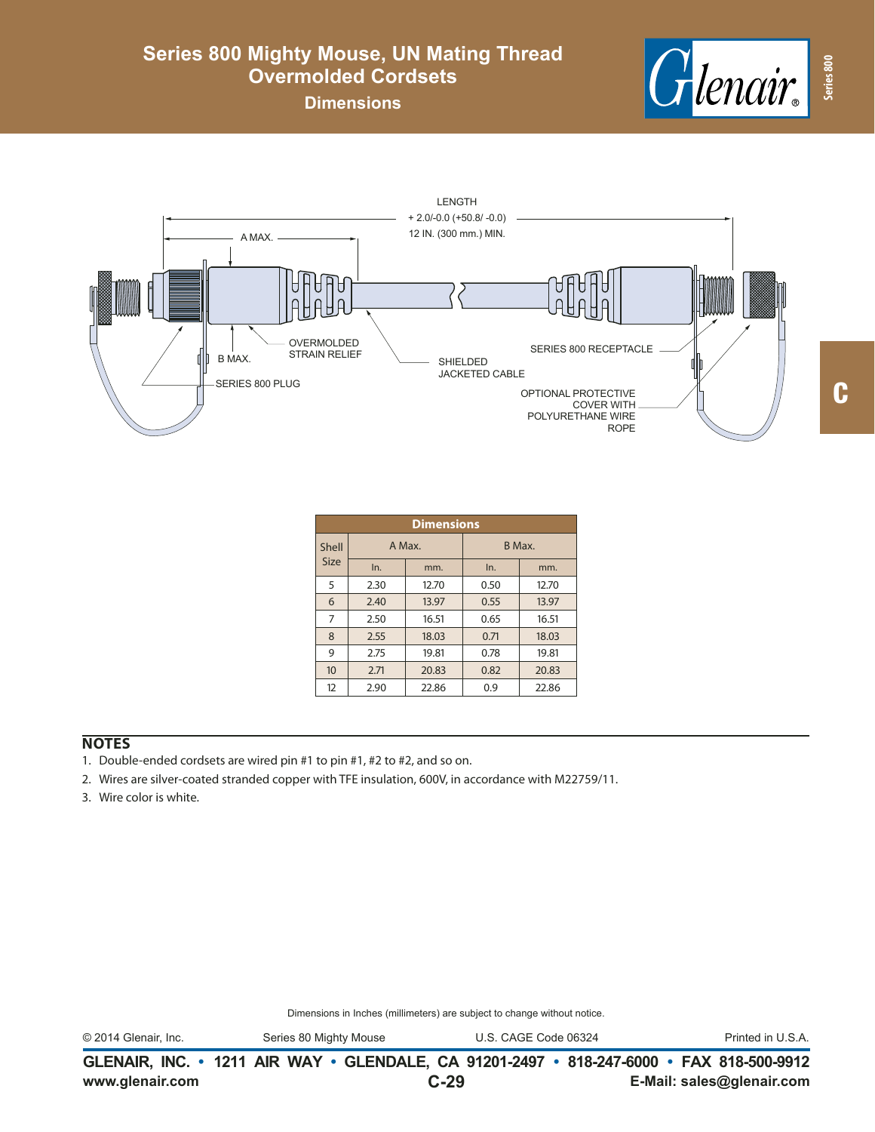# Henair. **Series 800**

### **Series 800 Mighty Mouse, UN Mating Thread Overmolded Cordsets**

**Dimensions**



|             | <b>Dimensions</b> |       |        |       |  |  |  |  |  |  |
|-------------|-------------------|-------|--------|-------|--|--|--|--|--|--|
| Shell       | A Max.            |       | B Max. |       |  |  |  |  |  |  |
| <b>Size</b> | In.               | mm.   | In.    | mm.   |  |  |  |  |  |  |
| 5           | 2.30              | 12.70 | 0.50   | 12.70 |  |  |  |  |  |  |
| 6           | 2.40              | 13.97 | 0.55   | 13.97 |  |  |  |  |  |  |
| 7           | 2.50              | 16.51 | 0.65   | 16.51 |  |  |  |  |  |  |
| 8           | 2.55              | 18.03 | 0.71   | 18.03 |  |  |  |  |  |  |
| 9           | 2.75              | 19.81 | 0.78   | 19.81 |  |  |  |  |  |  |
| 10          | 2.71              | 20.83 | 0.82   | 20.83 |  |  |  |  |  |  |
| 12          | 2.90              | 22.86 | 0.9    | 22.86 |  |  |  |  |  |  |

#### **NOTES**

- 1. Double-ended cordsets are wired pin #1 to pin #1, #2 to #2, and so on.
- 2. Wires are silver-coated stranded copper with TFE insulation, 600V, in accordance with M22759/11.
- 3. Wire color is white.

Dimensions in Inches (millimeters) are subject to change without notice.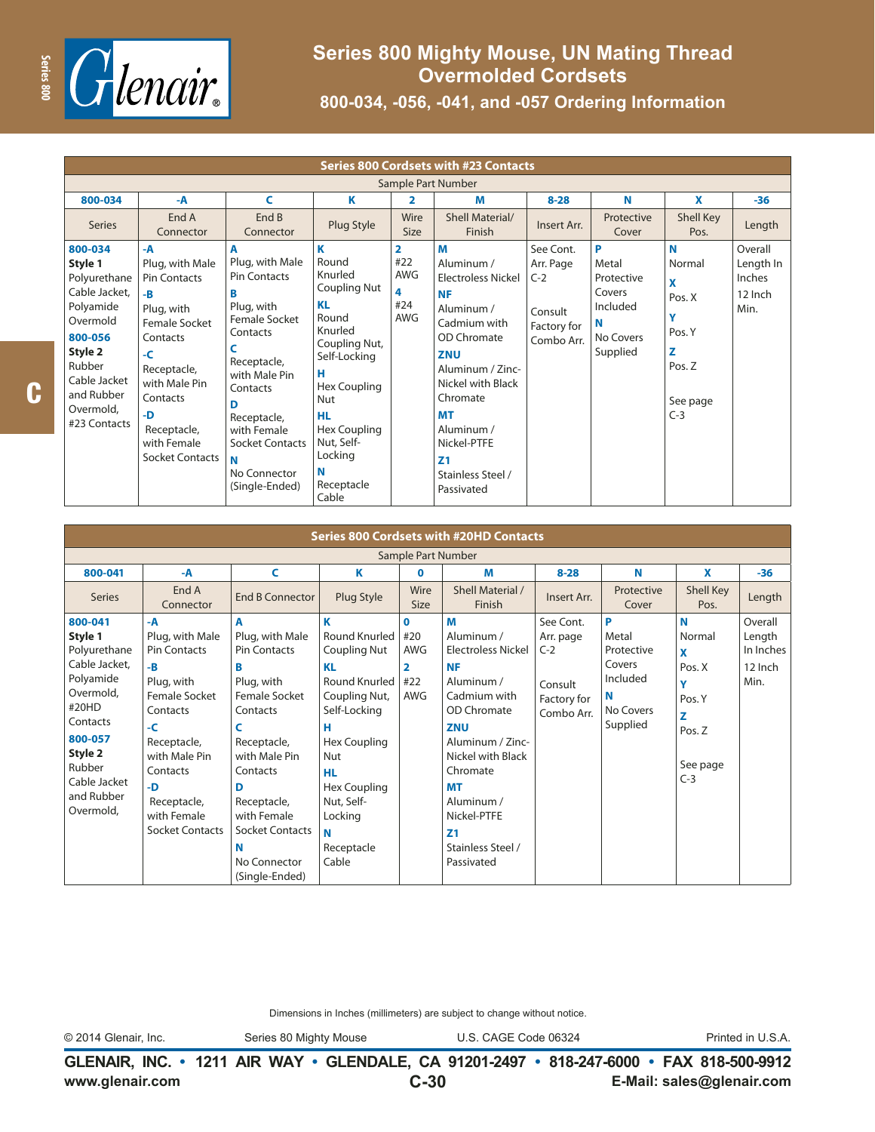

| <b>Series 800 Cordsets with #23 Contacts</b>                                                                                                                            |                                                                                                                                                                                                            |                                                                                                                                                                                                                                                  |                                                                                                                                                                                                                       |                                                               |                                                                                                                                                                                                                                                                          |                                                                         |                                                                              |                                                                               |                                                   |
|-------------------------------------------------------------------------------------------------------------------------------------------------------------------------|------------------------------------------------------------------------------------------------------------------------------------------------------------------------------------------------------------|--------------------------------------------------------------------------------------------------------------------------------------------------------------------------------------------------------------------------------------------------|-----------------------------------------------------------------------------------------------------------------------------------------------------------------------------------------------------------------------|---------------------------------------------------------------|--------------------------------------------------------------------------------------------------------------------------------------------------------------------------------------------------------------------------------------------------------------------------|-------------------------------------------------------------------------|------------------------------------------------------------------------------|-------------------------------------------------------------------------------|---------------------------------------------------|
| Sample Part Number                                                                                                                                                      |                                                                                                                                                                                                            |                                                                                                                                                                                                                                                  |                                                                                                                                                                                                                       |                                                               |                                                                                                                                                                                                                                                                          |                                                                         |                                                                              |                                                                               |                                                   |
| 800-034                                                                                                                                                                 | -A                                                                                                                                                                                                         | C                                                                                                                                                                                                                                                | Κ                                                                                                                                                                                                                     | $\overline{\mathbf{2}}$                                       | М                                                                                                                                                                                                                                                                        | $8 - 28$                                                                | N                                                                            | X                                                                             | $-36$                                             |
| Series                                                                                                                                                                  | End A<br>Connector                                                                                                                                                                                         | End B<br>Connector                                                                                                                                                                                                                               | Plug Style                                                                                                                                                                                                            | Wire<br><b>Size</b>                                           | Shell Material/<br>Finish                                                                                                                                                                                                                                                | Insert Arr.                                                             | Protective<br>Cover                                                          | Shell Key<br>Pos.                                                             | Length                                            |
| 800-034<br>Style 1<br>Polyurethane<br>Cable Jacket,<br>Polyamide<br>Overmold<br>800-056<br>Style 2<br>Rubber<br>Cable Jacket<br>and Rubber<br>Overmold,<br>#23 Contacts | -A<br>Plug, with Male<br><b>Pin Contacts</b><br>$-B$<br>Plug, with<br>Female Socket<br>Contacts<br>$-C$<br>Receptacle,<br>with Male Pin<br>Contacts<br>-D<br>Receptacle,<br>with Female<br>Socket Contacts | A<br>Plug, with Male<br><b>Pin Contacts</b><br>В<br>Plug, with<br>Female Socket<br>Contacts<br>C<br>Receptacle,<br>with Male Pin<br>Contacts<br>D<br>Receptacle,<br>with Female<br><b>Socket Contacts</b><br>N<br>No Connector<br>(Single-Ended) | K<br>Round<br>Knurled<br>Coupling Nut<br><b>KL</b><br>Round<br>Knurled<br>Coupling Nut,<br>Self-Locking<br>н<br>Hex Coupling<br>Nut<br><b>HL</b><br>Hex Coupling<br>Nut, Self-<br>Locking<br>N<br>Receptacle<br>Cable | $\overline{2}$<br>#22<br><b>AWG</b><br>4<br>#24<br><b>AWG</b> | M<br>Aluminum /<br><b>Electroless Nickel</b><br><b>NF</b><br>Aluminum /<br>Cadmium with<br>OD Chromate<br><b>ZNU</b><br>Aluminum / Zinc-<br>Nickel with Black<br>Chromate<br><b>MT</b><br>Aluminum /<br>Nickel-PTFE<br>Z <sub>1</sub><br>Stainless Steel /<br>Passivated | See Cont.<br>Arr. Page<br>$C-2$<br>Consult<br>Factory for<br>Combo Arr. | P<br>Metal<br>Protective<br>Covers<br>Included<br>N<br>No Covers<br>Supplied | N<br>Normal<br>X<br>Pos. X<br>٧<br>Pos. Y<br>z<br>Pos. Z<br>See page<br>$C-3$ | Overall<br>Length In<br>Inches<br>12 Inch<br>Min. |

| <b>Series 800 Cordsets with #20HD Contacts</b>                                                                                                                                |                                                                                                                                                                                                               |                                                                                                                                                                                                                                                  |                                                                                                                                                                                                                                |                                                                      |                                                                                                                                                                                                                                                                          |                                                                         |                                                                              |                                                                               |                                                   |
|-------------------------------------------------------------------------------------------------------------------------------------------------------------------------------|---------------------------------------------------------------------------------------------------------------------------------------------------------------------------------------------------------------|--------------------------------------------------------------------------------------------------------------------------------------------------------------------------------------------------------------------------------------------------|--------------------------------------------------------------------------------------------------------------------------------------------------------------------------------------------------------------------------------|----------------------------------------------------------------------|--------------------------------------------------------------------------------------------------------------------------------------------------------------------------------------------------------------------------------------------------------------------------|-------------------------------------------------------------------------|------------------------------------------------------------------------------|-------------------------------------------------------------------------------|---------------------------------------------------|
| Sample Part Number                                                                                                                                                            |                                                                                                                                                                                                               |                                                                                                                                                                                                                                                  |                                                                                                                                                                                                                                |                                                                      |                                                                                                                                                                                                                                                                          |                                                                         |                                                                              |                                                                               |                                                   |
| 800-041                                                                                                                                                                       | $-A$                                                                                                                                                                                                          | C                                                                                                                                                                                                                                                | κ                                                                                                                                                                                                                              | $\mathbf 0$                                                          | M                                                                                                                                                                                                                                                                        | $8 - 28$                                                                | N                                                                            | X                                                                             | $-36$                                             |
| <b>Series</b>                                                                                                                                                                 | End A<br>Connector                                                                                                                                                                                            | <b>End B Connector</b>                                                                                                                                                                                                                           | Plug Style                                                                                                                                                                                                                     | Wire<br><b>Size</b>                                                  | Shell Material /<br>Finish                                                                                                                                                                                                                                               | Insert Arr.                                                             | Protective<br>Cover                                                          | Shell Key<br>Pos.                                                             | Length                                            |
| 800-041<br>Style 1<br>Polyurethane<br>Cable Jacket,<br>Polyamide<br>Overmold,<br>#20HD<br>Contacts<br>800-057<br>Style 2<br>Rubber<br>Cable Jacket<br>and Rubber<br>Overmold, | -A<br>Plug, with Male<br><b>Pin Contacts</b><br>-B<br>Plug, with<br><b>Female Socket</b><br>Contacts<br>-C<br>Receptacle,<br>with Male Pin<br>Contacts<br>-D<br>Receptacle,<br>with Female<br>Socket Contacts | A<br>Plug, with Male<br><b>Pin Contacts</b><br>в<br>Plug, with<br>Female Socket<br>Contacts<br>C<br>Receptacle,<br>with Male Pin<br>Contacts<br>D<br>Receptacle,<br>with Female<br><b>Socket Contacts</b><br>N<br>No Connector<br>(Single-Ended) | ĸ<br><b>Round Knurled</b><br><b>Coupling Nut</b><br>KL<br><b>Round Knurled</b><br>Coupling Nut,<br>Self-Locking<br>н<br>Hex Coupling<br>Nut<br>HL.<br><b>Hex Coupling</b><br>Nut, Self-<br>Locking<br>N<br>Receptacle<br>Cable | $\bf{0}$<br>#20<br><b>AWG</b><br>$\overline{2}$<br>#22<br><b>AWG</b> | M<br>Aluminum /<br><b>Electroless Nickel</b><br><b>NF</b><br>Aluminum /<br>Cadmium with<br>OD Chromate<br><b>ZNU</b><br>Aluminum / Zinc-<br>Nickel with Black<br>Chromate<br><b>MT</b><br>Aluminum /<br>Nickel-PTFE<br>Z <sub>1</sub><br>Stainless Steel /<br>Passivated | See Cont.<br>Arr. page<br>$C-2$<br>Consult<br>Factory for<br>Combo Arr. | P<br>Metal<br>Protective<br>Covers<br>Included<br>N<br>No Covers<br>Supplied | N<br>Normal<br>X<br>Pos. X<br>Y<br>Pos. Y<br>Z<br>Pos. Z<br>See page<br>$C-3$ | Overall<br>Length<br>In Inches<br>12 Inch<br>Min. |

Dimensions in Inches (millimeters) are subject to change without notice.

© 2014 Glenair, Inc. Series 80 Mighty Mouse U.S. CAGE Code 06324 Printed in U.S.A.